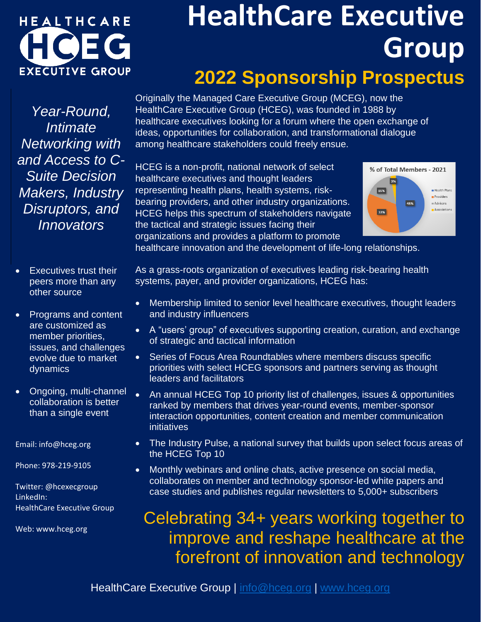# HEALTHCARE **EXECUTIVE GROUP**

## **HealthCare Executive Group 2022 Sponsorship Prospectus**

*Year-Round, Intimate Networking with and Access to C-Suite Decision Makers, Industry Disruptors, and Innovators*

- Executives trust their peers more than any other source
- Programs and content are customized as member priorities, issues, and challenges evolve due to market dynamics
- Ongoing, multi-channel collaboration is better than a single event

Email: info@hceg.org

Phone: 978-219-9105

Twitter: @hcexecgroup LinkedIn: HealthCare Executive Group

Web: www.hceg.org

Originally the Managed Care Executive Group (MCEG), now the HealthCare Executive Group (HCEG), was founded in 1988 by healthcare executives looking for a forum where the open exchange of ideas, opportunities for collaboration, and transformational dialogue among healthcare stakeholders could freely ensue.

HCEG is a non-profit, national network of select healthcare executives and thought leaders representing health plans, health systems, riskbearing providers, and other industry organizations. HCEG helps this spectrum of stakeholders navigate the tactical and strategic issues facing their organizations and provides a platform to promote



healthcare innovation and the development of life-long relationships.

As a grass-roots organization of executives leading risk-bearing health systems, payer, and provider organizations, HCEG has:

- Membership limited to senior level healthcare executives, thought leaders and industry influencers
- A "users' group" of executives supporting creation, curation, and exchange of strategic and tactical information
- Series of Focus Area Roundtables where members discuss specific priorities with select HCEG sponsors and partners serving as thought leaders and facilitators
- An annual HCEG Top 10 priority list of challenges, issues & opportunities ranked by members that drives year-round events, member-sponsor interaction opportunities, content creation and member communication initiatives
- The Industry Pulse, a national survey that builds upon select focus areas of the HCEG Top 10
- Monthly webinars and online chats, active presence on social media, collaborates on member and technology sponsor-led white papers and case studies and publishes regular newsletters to 5,000+ subscribers

### Celebrating 34+ years working together to improve and reshape healthcare at the forefront of innovation and technology

HealthCare Executive Group | [info@hceg.org](mailto:info@hceg.org) | [www.hceg.org](http://www.hceg.org/)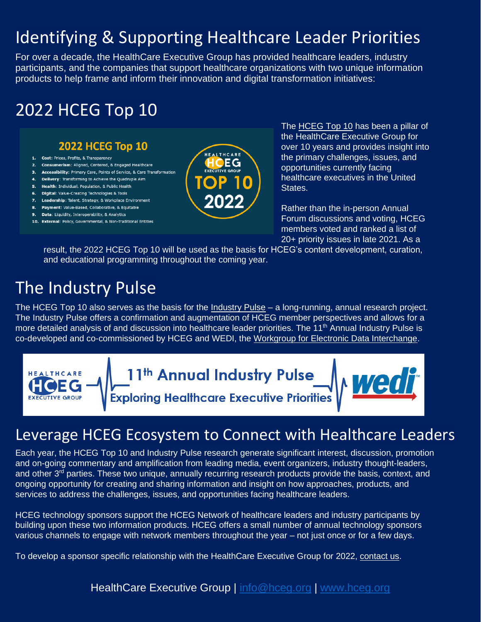### Identifying & Supporting Healthcare Leader Priorities

For over a decade, the HealthCare Executive Group has provided healthcare leaders, industry participants, and the companies that support healthcare organizations with two unique information products to help frame and inform their innovation and digital transformation initiatives:

#### 2022 HCEG Top 10

#### **2022 HCEG Top 10**

- 1. Cost: Prices, Profits, & Transparency
- 2. Consumerism: Aligned, Centered, & Engaged Healthcare
- 3. Accessibility: Primary Care, Points of Service, & Care Transformation
- 4. Delivery: Transforming to Achieve the Quadruple Aim 5. Health: Individual, Population, & Public Health
- 6. Digital: Value-Creating Technologies & Tools
- 7. Leadership: Talent, Strategy, & Workplace Environment
- 8. Payment: Value-Based, Collaborative, & Equitable
- 9. Data: Liquidity, Interoperability, & Analytics
- 10. External: Policy, Governmental, & Non-Traditional Entities



The **HCEG Top 10 has been a pillar of** the HealthCare Executive Group for over 10 years and provides insight into the primary challenges, issues, and opportunities currently facing healthcare executives in the United **States** 

Rather than the in-person Annual Forum discussions and voting, HCEG members voted and ranked a list of 20+ priority issues in late 2021. As a

result, the 2022 HCEG Top 10 will be used as the basis for HCEG's content development, curation, and educational programming throughout the coming year.

#### The Industry Pulse

The HCEG Top 10 also serves as the basis for the [Industry Pulse](https://bit.ly/indpulse) – a long-running, annual research project. The Industry Pulse offers a confirmation and augmentation of HCEG member perspectives and allows for a more detailed analysis of and discussion into healthcare leader priorities. The 11<sup>th</sup> Annual Industry Pulse is co-developed and co-commissioned by HCEG and WEDI, the [Workgroup for Electronic Data Interchange.](http://www.wedi.org/)



#### Leverage HCEG Ecosystem to Connect with Healthcare Leaders

Each year, the HCEG Top 10 and Industry Pulse research generate significant interest, discussion, promotion and on-going commentary and amplification from leading media, event organizers, industry thought-leaders, and other 3<sup>rd</sup> parties. These two unique, annually recurring research products provide the basis, context, and ongoing opportunity for creating and sharing information and insight on how approaches, products, and services to address the challenges, issues, and opportunities facing healthcare leaders.

HCEG technology sponsors support the HCEG Network of healthcare leaders and industry participants by building upon these two information products. HCEG offers a small number of annual technology sponsors various channels to engage with network members throughout the year – not just once or for a few days.

To develop a sponsor specific relationship with the HealthCare Executive Group for 2022, [contact us.](mailto:info@hceg.org?subject=Sponsor%20Inquiry)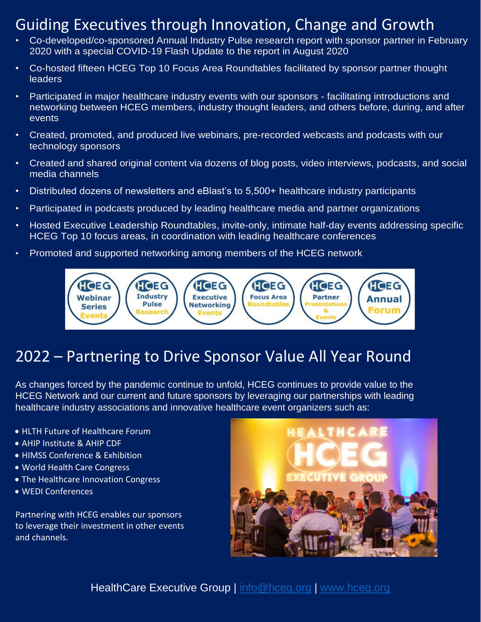#### Guiding Executives through Innovation, Change and Growth

- Co-developed/co-sponsored Annual Industry Pulse research report with sponsor partner in February 2020 with a special COVID-19 Flash Update to the report in August 2020
- Co-hosted fifteen HCEG Top 10 Focus Area Roundtables facilitated by sponsor partner thought **leaders**
- Participated in major healthcare industry events with our sponsors facilitating introductions and networking between HCEG members, industry thought leaders, and others before, during, and after events
- Created, promoted, and produced live webinars, pre-recorded webcasts and podcasts with our technology sponsors
- Created and shared original content via dozens of blog posts, video interviews, podcasts, and social media channels
- Distributed dozens of newsletters and eBlast's to 5,500+ healthcare industry participants
- Participated in podcasts produced by leading healthcare media and partner organizations
- Hosted Executive Leadership Roundtables, invite-only, intimate half-day events addressing specific HCEG Top 10 focus areas, in coordination with leading healthcare conferences
- Promoted and supported networking among members of the HCEG network



#### 2022 – Partnering to Drive Sponsor Value All Year Round

As changes forced by the pandemic continue to unfold, HCEG continues to provide value to the HCEG Network and our current and future sponsors by leveraging our partnerships with leading healthcare industry associations and innovative healthcare event organizers such as:

- HLTH Future of Healthcare Forum
- AHIP Institute & AHIP CDF
- HIMSS Conference & Exhibition
- World Health Care Congress
- The Healthcare Innovation Congress
- WEDI Conferences

Partnering with HCEG enables our sponsors to leverage their investment in other events and channels.